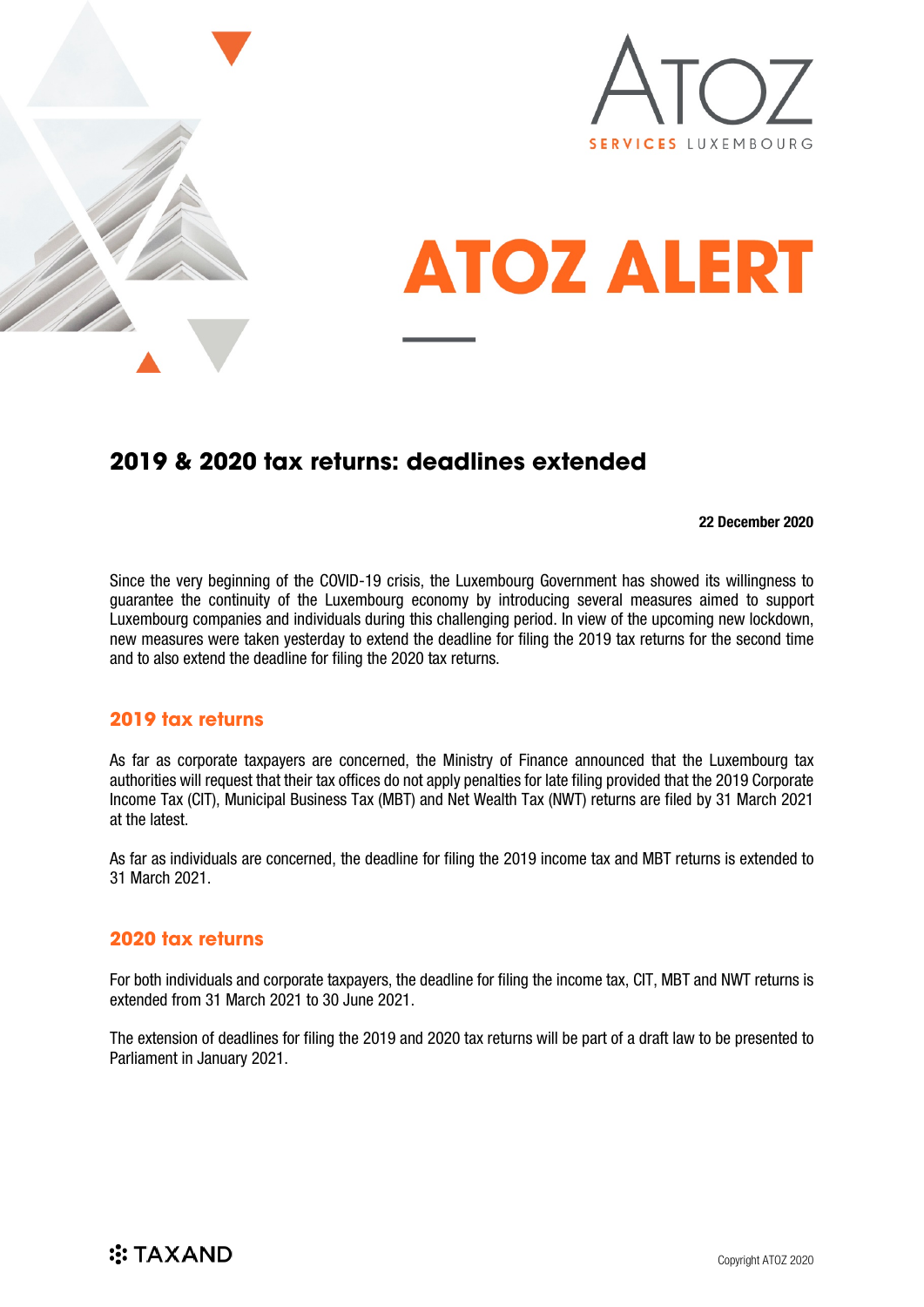



# **ATOZ ALERT**

## **2019 & 2020 tax returns: deadlines extended**

#### 22 December 2020

Since the very beginning of the COVID-19 crisis, the Luxembourg Government has showed its willingness to guarantee the continuity of the Luxembourg economy by introducing several measures aimed to support Luxembourg companies and individuals during this challenging period. In view of the upcoming new lockdown, new measures were taken yesterday to extend the deadline for filing the 2019 tax returns for the second time and to also extend the deadline for filing the 2020 tax returns.

#### **2019 tax returns**

As far as corporate taxpayers are concerned, the Ministry of Finance announced that the Luxembourg tax authorities will request that their tax offices do not apply penalties for late filing provided that the 2019 Corporate Income Tax (CIT), Municipal Business Tax (MBT) and Net Wealth Tax (NWT) returns are filed by 31 March 2021 at the latest.

As far as individuals are concerned, the deadline for filing the 2019 income tax and MBT returns is extended to 31 March 2021.

#### **2020 tax returns**

For both individuals and corporate taxpayers, the deadline for filing the income tax, CIT, MBT and NWT returns is extended from 31 March 2021 to 30 June 2021.

The extension of deadlines for filing the 2019 and 2020 tax returns will be part of a draft law to be presented to Parliament in January 2021.